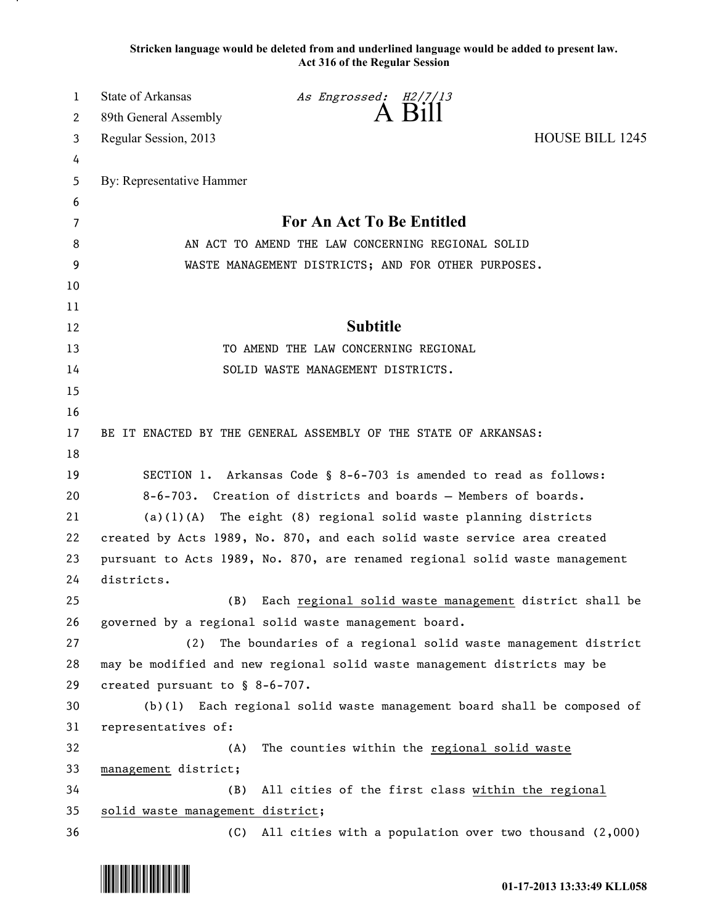**Stricken language would be deleted from and underlined language would be added to present law. Act 316 of the Regular Session**

| 1        | <b>State of Arkansas</b>                                               | As Engrossed: H2/7/13 |                                                                             |
|----------|------------------------------------------------------------------------|-----------------------|-----------------------------------------------------------------------------|
| 2        | 89th General Assembly                                                  | A Bill                |                                                                             |
| 3        | Regular Session, 2013                                                  |                       | <b>HOUSE BILL 1245</b>                                                      |
| 4        |                                                                        |                       |                                                                             |
| 5        | By: Representative Hammer                                              |                       |                                                                             |
| 6        |                                                                        |                       |                                                                             |
| 7        | For An Act To Be Entitled                                              |                       |                                                                             |
| 8        | AN ACT TO AMEND THE LAW CONCERNING REGIONAL SOLID                      |                       |                                                                             |
| 9        | WASTE MANAGEMENT DISTRICTS; AND FOR OTHER PURPOSES.                    |                       |                                                                             |
| 10       |                                                                        |                       |                                                                             |
| 11       |                                                                        |                       |                                                                             |
| 12       |                                                                        | <b>Subtitle</b>       |                                                                             |
| 13       | TO AMEND THE LAW CONCERNING REGIONAL                                   |                       |                                                                             |
| 14       | SOLID WASTE MANAGEMENT DISTRICTS.                                      |                       |                                                                             |
| 15       |                                                                        |                       |                                                                             |
| 16       |                                                                        |                       |                                                                             |
| 17       | BE IT ENACTED BY THE GENERAL ASSEMBLY OF THE STATE OF ARKANSAS:        |                       |                                                                             |
| 18       |                                                                        |                       |                                                                             |
| 19       | SECTION 1. Arkansas Code § 8-6-703 is amended to read as follows:      |                       |                                                                             |
| 20       | 8-6-703. Creation of districts and boards - Members of boards.         |                       |                                                                             |
| 21       | (a)(1)(A)                                                              |                       | The eight (8) regional solid waste planning districts                       |
| 22       |                                                                        |                       | created by Acts 1989, No. 870, and each solid waste service area created    |
| 23       |                                                                        |                       | pursuant to Acts 1989, No. 870, are renamed regional solid waste management |
| 24       | districts.                                                             |                       |                                                                             |
| 25<br>26 | (B)<br>governed by a regional solid waste management board.            |                       | Each regional solid waste management district shall be                      |
| 27       | (2)                                                                    |                       | The boundaries of a regional solid waste management district                |
| 28       |                                                                        |                       | may be modified and new regional solid waste management districts may be    |
| 29       | created pursuant to § 8-6-707.                                         |                       |                                                                             |
| 30       | (b)(1) Each regional solid waste management board shall be composed of |                       |                                                                             |
| 31       | representatives of:                                                    |                       |                                                                             |
| 32       | (A)                                                                    |                       | The counties within the regional solid waste                                |
| 33       | management district;                                                   |                       |                                                                             |
| 34       | (B)                                                                    |                       | All cities of the first class within the regional                           |
| 35       | solid waste management district;                                       |                       |                                                                             |
| 36       | (C)                                                                    |                       | All cities with a population over two thousand (2,000)                      |

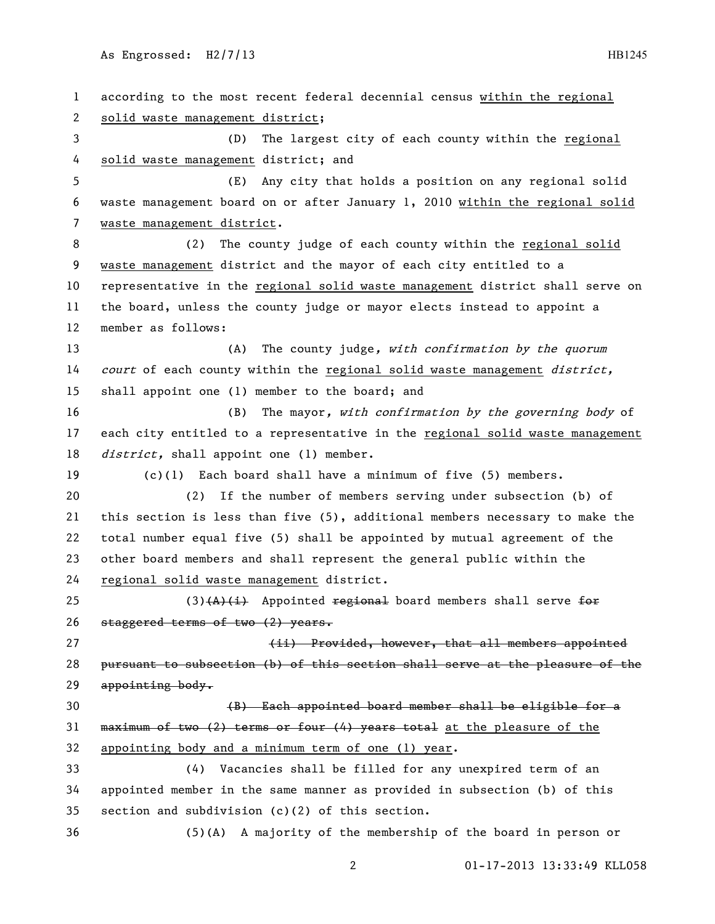01-17-2013 13:33:49 KLL058 according to the most recent federal decennial census within the regional solid waste management district; (D) The largest city of each county within the regional solid waste management district; and (E) Any city that holds a position on any regional solid waste management board on or after January 1, 2010 within the regional solid waste management district. (2) The county judge of each county within the regional solid waste management district and the mayor of each city entitled to a representative in the regional solid waste management district shall serve on the board, unless the county judge or mayor elects instead to appoint a member as follows: 13 (A) The county judge, with confirmation by the quorum 14 court of each county within the regional solid waste management district, shall appoint one (1) member to the board; and 16 (B) The mayor, with confirmation by the governing body of each city entitled to a representative in the regional solid waste management *district*, shall appoint one (1) member. (c)(1) Each board shall have a minimum of five (5) members. (2) If the number of members serving under subsection (b) of this section is less than five (5), additional members necessary to make the total number equal five (5) shall be appointed by mutual agreement of the other board members and shall represent the general public within the regional solid waste management district. 25 (3) $(A)$ (i) Appointed regional board members shall serve for 26 staggered terms of two (2) years. **East Constructed, increased, however, that all members appointed**  pursuant to subsection (b) of this section shall serve at the pleasure of the 29 appointing body. (B) Each appointed board member shall be eligible for a 31 maximum of two  $(2)$  terms or four  $(4)$  years total at the pleasure of the appointing body and a minimum term of one (1) year. (4) Vacancies shall be filled for any unexpired term of an appointed member in the same manner as provided in subsection (b) of this section and subdivision (c)(2) of this section. (5)(A) A majority of the membership of the board in person or